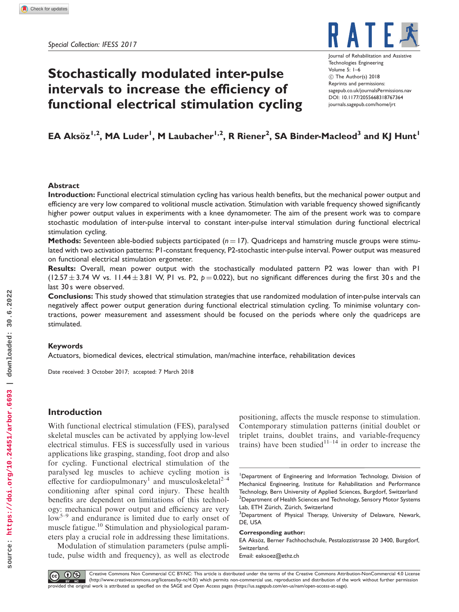# Stochastically modulated inter-pulse intervals to increase the efficiency of functional electrical stimulation cycling



Journal of Rehabilitation and Assisti Technologies Engineering Volume 5: 1–6 C The Author(s) 2018 Reprints and permissions: [sagepub.co.uk/journalsPermissions.nav](https://uk.sagepub.com/en-gb/journals-permissions) DOI: [10.1177/2055668318767364](https://doi.org/10.1177/2055668318767364) <journals.sagepub.com/home/jrt>

# EA Aksöz<sup>1,2</sup>, MA Luder<sup>1</sup>, M Laubacher<sup>1,2</sup>, R Riener<sup>2</sup>, SA Binder-Macleod<sup>3</sup> and KJ Hunt<sup>1</sup>

#### Abstract

Introduction: Functional electrical stimulation cycling has various health benefits, but the mechanical power output and efficiency are very low compared to volitional muscle activation. Stimulation with variable frequency showed significantly higher power output values in experiments with a knee dynamometer. The aim of the present work was to compare stochastic modulation of inter-pulse interval to constant inter-pulse interval stimulation during functional electrical stimulation cycling.

**Methods:** Seventeen able-bodied subjects participated ( $n = 17$ ). Quadriceps and hamstring muscle groups were stimulated with two activation patterns: P1-constant frequency, P2-stochastic inter-pulse interval. Power output was measured on functional electrical stimulation ergometer.

Results: Overall, mean power output with the stochastically modulated pattern P2 was lower than with P1 (12.57  $\pm$  3.74 W vs. 11.44  $\pm$  3.81 W, P1 vs. P2,  $\rho$   $=$  0.022), but no significant differences during the first 30s and the last 30 s were observed.

Conclusions: This study showed that stimulation strategies that use randomized modulation of inter-pulse intervals can negatively affect power output generation during functional electrical stimulation cycling. To minimise voluntary contractions, power measurement and assessment should be focused on the periods where only the quadriceps are stimulated.

#### Keywords

Actuators, biomedical devices, electrical stimulation, man/machine interface, rehabilitation devices

Date received: 3 October 2017; accepted: 7 March 2018

# Introduction

With functional electrical stimulation (FES), paralysed skeletal muscles can be activated by applying low-level electrical stimulus. FES is successfully used in various applications like grasping, standing, foot drop and also for cycling. Functional electrical stimulation of the paralysed leg muscles to achieve cycling motion is effective for cardiopulmonary<sup>1</sup> and musculoskeletal<sup>2-4</sup> conditioning after spinal cord injury. These health benefits are dependent on limitations of this technology: mechanical power output and efficiency are very  $\text{low}^{5-9}$  and endurance is limited due to early onset of muscle fatigue.<sup>10</sup> Stimulation and physiological parameters play a crucial role in addressing these limitations.

Modulation of stimulation parameters (pulse amplitude, pulse width and frequency), as well as electrode positioning, affects the muscle response to stimulation. Contemporary stimulation patterns (initial doublet or triplet trains, doublet trains, and variable-frequency trains) have been studied<sup>11–14</sup> in order to increase the

#### Corresponding author:

EA Aksöz, Berner Fachhochschule, Pestalozzistrasse 20 3400, Burgdorf, Switzerland.

Email: eaksoez@ethz.ch

Creative Commons Non Commercial CC BY-NC: This article is distributed under the terms of the Creative Commons Attribution-NonCommercial 4.0 License  $0$  $(c<sub>c</sub>)$ (http://www.creativecommons.org/licenses/by-nc/4.0/) which permits non-commercial use, reproduction and distribution of the work without further permission provided the original work is attributed as specified on the SAGE and Open Access pages (https://us.sagepub.com/en-us/nam/open-access-at-sage).

<sup>&</sup>lt;sup>1</sup>Department of Engineering and Information Technology, Division of Mechanical Engineering, Institute for Rehabilitation and Performance Technology, Bern University of Applied Sciences, Burgdorf, Switzerland <sup>2</sup> Department of Health Sciences and Technology, Sensory Motor Systems Lab, ETH Zürich, Zürich, Switzerland

Department of Physical Therapy, University of Delaware, Newark, DE, USA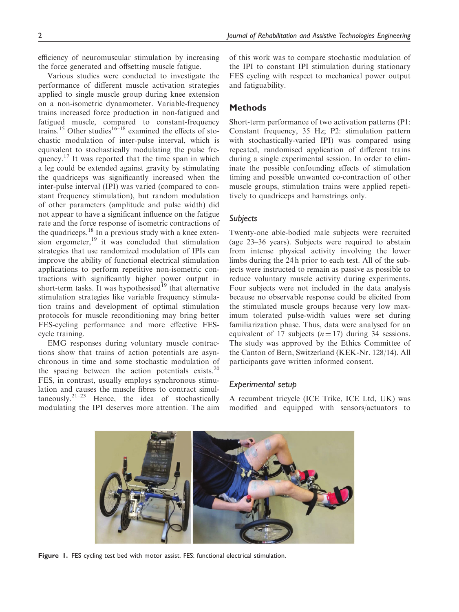efficiency of neuromuscular stimulation by increasing the force generated and offsetting muscle fatigue.

Various studies were conducted to investigate the performance of different muscle activation strategies applied to single muscle group during knee extension on a non-isometric dynamometer. Variable-frequency trains increased force production in non-fatigued and fatigued muscle, compared to constant-frequency trains.<sup>15</sup> Other studies<sup>16–18</sup> examined the effects of stochastic modulation of inter-pulse interval, which is equivalent to stochastically modulating the pulse frequency.<sup>17</sup> It was reported that the time span in which a leg could be extended against gravity by stimulating the quadriceps was significantly increased when the inter-pulse interval (IPI) was varied (compared to constant frequency stimulation), but random modulation of other parameters (amplitude and pulse width) did not appear to have a significant influence on the fatigue rate and the force response of isometric contractions of the quadriceps.<sup>18</sup> In a previous study with a knee extension ergometer, $19$  it was concluded that stimulation strategies that use randomized modulation of IPIs can improve the ability of functional electrical stimulation applications to perform repetitive non-isometric contractions with significantly higher power output in short-term tasks. It was hypothesised<sup>19</sup> that alternative stimulation strategies like variable frequency stimulation trains and development of optimal stimulation protocols for muscle reconditioning may bring better FES-cycling performance and more effective FEScycle training.

EMG responses during voluntary muscle contractions show that trains of action potentials are asynchronous in time and some stochastic modulation of the spacing between the action potentials exists. $20$ FES, in contrast, usually employs synchronous stimulation and causes the muscle fibres to contract simultaneously.<sup>21–23</sup> Hence, the idea of stochastically modulating the IPI deserves more attention. The aim of this work was to compare stochastic modulation of the IPI to constant IPI stimulation during stationary FES cycling with respect to mechanical power output and fatiguability.

# Methods

Short-term performance of two activation patterns (P1: Constant frequency, 35 Hz; P2: stimulation pattern with stochastically-varied IPI) was compared using repeated, randomised application of different trains during a single experimental session. In order to eliminate the possible confounding effects of stimulation timing and possible unwanted co-contraction of other muscle groups, stimulation trains were applied repetitively to quadriceps and hamstrings only.

# Subjects

Twenty-one able-bodied male subjects were recruited (age 23–36 years). Subjects were required to abstain from intense physical activity involving the lower limbs during the 24 h prior to each test. All of the subjects were instructed to remain as passive as possible to reduce voluntary muscle activity during experiments. Four subjects were not included in the data analysis because no observable response could be elicited from the stimulated muscle groups because very low maximum tolerated pulse-width values were set during familiarization phase. Thus, data were analysed for an equivalent of 17 subjects  $(n = 17)$  during 34 sessions. The study was approved by the Ethics Committee of the Canton of Bern, Switzerland (KEK-Nr. 128/14). All participants gave written informed consent.

#### Experimental setup

A recumbent tricycle (ICE Trike, ICE Ltd, UK) was modified and equipped with sensors/actuators to



Figure 1. FES cycling test bed with motor assist. FES: functional electrical stimulation.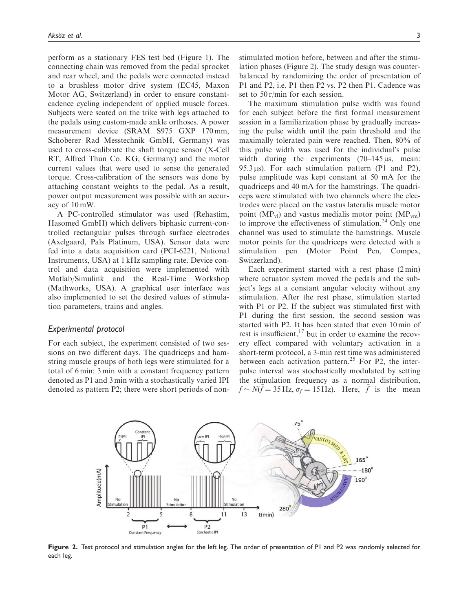perform as a stationary FES test bed (Figure 1). The connecting chain was removed from the pedal sprocket and rear wheel, and the pedals were connected instead to a brushless motor drive system (EC45, Maxon Motor AG, Switzerland) in order to ensure constantcadence cycling independent of applied muscle forces. Subjects were seated on the trike with legs attached to the pedals using custom-made ankle orthoses. A power measurement device (SRAM S975 GXP 170 mm, Schoberer Rad Messtechnik GmbH, Germany) was used to cross-calibrate the shaft torque sensor (X-Cell RT, Alfred Thun Co. KG, Germany) and the motor current values that were used to sense the generated torque. Cross-calibration of the sensors was done by attaching constant weights to the pedal. As a result, power output measurement was possible with an accuracy of 10 mW.

A PC-controlled stimulator was used (Rehastim, Hasomed GmbH) which delivers biphasic current-controlled rectangular pulses through surface electrodes (Axelgaard, Pals Platinum, USA). Sensor data were fed into a data acquisition card (PCI-6221, National Instruments, USA) at 1 kHz sampling rate. Device control and data acquisition were implemented with Matlab/Simulink and the Real-Time Workshop (Mathworks, USA). A graphical user interface was also implemented to set the desired values of stimulation parameters, trains and angles.

# Experimental protocol

For each subject, the experiment consisted of two sessions on two different days. The quadriceps and hamstring muscle groups of both legs were stimulated for a total of 6 min: 3 min with a constant frequency pattern denoted as P1 and 3 min with a stochastically varied IPI denoted as pattern P2; there were short periods of nonstimulated motion before, between and after the stimulation phases (Figure 2). The study design was counterbalanced by randomizing the order of presentation of P1 and P2, i.e. P1 then P2 vs. P2 then P1. Cadence was set to 50 r/min for each session.

The maximum stimulation pulse width was found for each subject before the first formal measurement session in a familiarization phase by gradually increasing the pulse width until the pain threshold and the maximally tolerated pain were reached. Then, 80% of this pulse width was used for the individual's pulse width during the experiments  $(70-145 \,\mu s, \text{mean})$ 95.3  $\mu$ s). For each stimulation pattern (P1 and P2), pulse amplitude was kept constant at 50 mA for the quadriceps and 40 mA for the hamstrings. The quadriceps were stimulated with two channels where the electrodes were placed on the vastus lateralis muscle motor point  $(MP_{vl})$  and vastus medialis motor point  $(MP_{vm})$ to improve the effectiveness of stimulation.<sup>24</sup> Only one channel was used to stimulate the hamstrings. Muscle motor points for the quadriceps were detected with a stimulation pen (Motor Point Pen, Compex, Switzerland).

Each experiment started with a rest phase (2 min) where actuator system moved the pedals and the subject's legs at a constant angular velocity without any stimulation. After the rest phase, stimulation started with P1 or P2. If the subject was stimulated first with P1 during the first session, the second session was started with P2. It has been stated that even 10 min of rest is insufficient,<sup>17</sup> but in order to examine the recovery effect compared with voluntary activation in a short-term protocol, a 3-min rest time was administered between each activation pattern.<sup>25</sup> For P2, the interpulse interval was stochastically modulated by setting the stimulation frequency as a normal distribution,  $f \sim N(\bar{f} = 35 \text{ Hz}, \sigma_f = 15 \text{ Hz})$ . Here,  $\bar{f}$  is the mean



Figure 2. Test protocol and stimulation angles for the left leg. The order of presentation of P1 and P2 was randomly selected for each leg.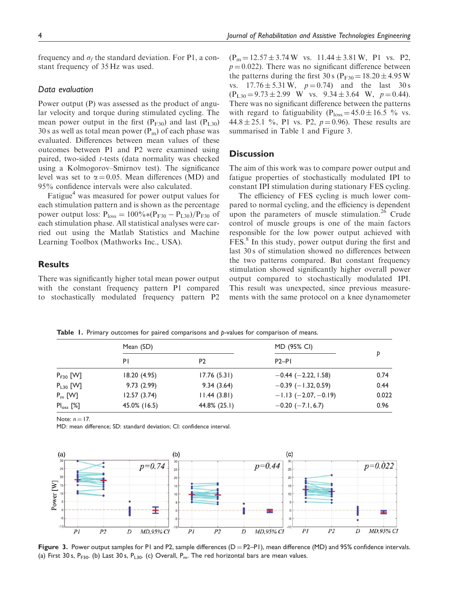frequency and  $\sigma_f$  the standard deviation. For P1, a constant frequency of 35 Hz was used.

#### Data evaluation

Power output (P) was assessed as the product of angular velocity and torque during stimulated cycling. The mean power output in the first  $(P_{F30})$  and last  $(P_{L30})$ 30 s as well as total mean power  $(P_m)$  of each phase was evaluated. Differences between mean values of these outcomes between P1 and P2 were examined using paired, two-sided t-tests (data normality was checked using a Kolmogorov–Smirnov test). The significance level was set to  $\alpha = 0.05$ . Mean differences (MD) and 95% confidence intervals were also calculated.

Fatigue<sup>4</sup> was measured for power output values for each stimulation pattern and is shown as the percentage power output loss:  $P_{loss} = 100\%*(P_{F30} - P_{L30})/P_{F30}$  of each stimulation phase. All statistical analyses were carried out using the Matlab Statistics and Machine Learning Toolbox (Mathworks Inc., USA).

# **Results**

There was significantly higher total mean power output with the constant frequency pattern P1 compared to stochastically modulated frequency pattern P2

 $(P_m = 12.57 \pm 3.74 \text{ W} \text{ vs. } 11.44 \pm 3.81 \text{ W}, \text{ P1} \text{ vs. } \text{P2},$  $p = 0.022$ ). There was no significant difference between the patterns during the first 30 s ( $P_{F30} = 18.20 \pm 4.95$  W vs.  $17.76 \pm 5.31 \text{ W}$ ,  $p = 0.74$ ) and the last 30 s  $(P_{L30} = 9.73 \pm 2.99$  W vs.  $9.34 \pm 3.64$  W,  $p = 0.44$ ). There was no significant difference between the patterns with regard to fatiguability ( $P_{loss} = 45.0 \pm 16.5$  % vs.  $44.8 \pm 25.1$  %, P1 vs. P2,  $p = 0.96$ ). These results are summarised in Table 1 and Figure 3.

# **Discussion**

The aim of this work was to compare power output and fatigue properties of stochastically modulated IPI to constant IPI stimulation during stationary FES cycling.

The efficiency of FES cycling is much lower compared to normal cycling, and the efficiency is dependent upon the parameters of muscle stimulation.<sup>26</sup> Crude control of muscle groups is one of the main factors responsible for the low power output achieved with FES.<sup>8</sup> In this study, power output during the first and last 30 s of stimulation showed no differences between the two patterns compared. But constant frequency stimulation showed significantly higher overall power output compared to stochastically modulated IPI. This result was unexpected, since previous measurements with the same protocol on a knee dynamometer

**Table 1.** Primary outcomes for paired comparisons and  $p$ -values for comparison of means.

|                    | Mean (SD)    |                | MD (95% CI)               |       |
|--------------------|--------------|----------------|---------------------------|-------|
|                    | ΡI           | P <sub>2</sub> | $P2-P1$                   | Þ     |
| $P_{F30}$ [W]      | 18.20 (4.95) | 17.76(5.31)    | $-0.44$ ( $-2.22$ , 1.58) | 0.74  |
| $P_{L30}$ [W]      | 9.73(2.99)   | 9.34(3.64)     | $-0.39$ ( $-1.32, 0.59$ ) | 0.44  |
| $P_m$ [W]          | 12.57(3.74)  | 11.44(3.81)    | $-1.13$ (-2.07, -0.19)    | 0.022 |
| $PI_{\rm oss}$ [%] | 45.0% (16.5) | 44.8% (25.1)   | $-0.20$ ( $-7.1, 6.7$ )   | 0.96  |

Note:  $n = 17$ .

MD: mean difference; SD: standard deviation; CI: confidence interval.



Figure 3. Power output samples for P1 and P2, sample differences  $(D = P2-P1)$ , mean difference (MD) and 95% confidence intervals. (a) First 30 s,  $P_{F30}$ . (b) Last 30 s,  $P_{L30}$ . (c) Overall,  $P_m$ . The red horizontal bars are mean values.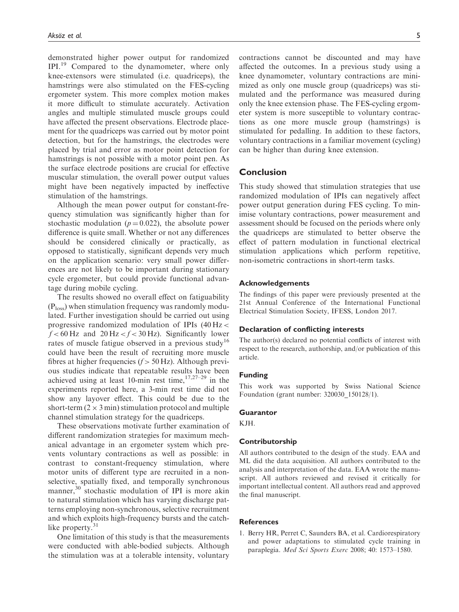demonstrated higher power output for randomized IPI.<sup>19</sup> Compared to the dynamometer, where only knee-extensors were stimulated (i.e. quadriceps), the hamstrings were also stimulated on the FES-cycling ergometer system. This more complex motion makes it more difficult to stimulate accurately. Activation angles and multiple stimulated muscle groups could have affected the present observations. Electrode placement for the quadriceps was carried out by motor point detection, but for the hamstrings, the electrodes were placed by trial and error as motor point detection for hamstrings is not possible with a motor point pen. As the surface electrode positions are crucial for effective muscular stimulation, the overall power output values might have been negatively impacted by ineffective stimulation of the hamstrings.

Although the mean power output for constant-frequency stimulation was significantly higher than for stochastic modulation ( $p = 0.022$ ), the absolute power difference is quite small. Whether or not any differences should be considered clinically or practically, as opposed to statistically, significant depends very much on the application scenario: very small power differences are not likely to be important during stationary cycle ergometer, but could provide functional advantage during mobile cycling.

The results showed no overall effect on fatiguability  $(P<sub>loss</sub>)$  when stimulation frequency was randomly modulated. Further investigation should be carried out using progressive randomized modulation of IPIs (40 Hz <  $f < 60$  Hz and 20 Hz  $< f < 30$  Hz). Significantly lower rates of muscle fatigue observed in a previous study<sup>16</sup> could have been the result of recruiting more muscle fibres at higher frequencies  $(f > 50 \text{ Hz})$ . Although previous studies indicate that repeatable results have been achieved using at least 10-min rest time, $17,27-29$  in the experiments reported here, a 3-min rest time did not show any layover effect. This could be due to the short-term  $(2 \times 3 \text{ min})$  stimulation protocol and multiple channel stimulation strategy for the quadriceps.

These observations motivate further examination of different randomization strategies for maximum mechanical advantage in an ergometer system which prevents voluntary contractions as well as possible: in contrast to constant-frequency stimulation, where motor units of different type are recruited in a nonselective, spatially fixed, and temporally synchronous manner,<sup>30</sup> stochastic modulation of IPI is more akin to natural stimulation which has varying discharge patterns employing non-synchronous, selective recruitment and which exploits high-frequency bursts and the catchlike property. $31$ 

One limitation of this study is that the measurements were conducted with able-bodied subjects. Although the stimulation was at a tolerable intensity, voluntary contractions cannot be discounted and may have affected the outcomes. In a previous study using a knee dynamometer, voluntary contractions are minimized as only one muscle group (quadriceps) was stimulated and the performance was measured during only the knee extension phase. The FES-cycling ergometer system is more susceptible to voluntary contractions as one more muscle group (hamstrings) is stimulated for pedalling. In addition to these factors, voluntary contractions in a familiar movement (cycling) can be higher than during knee extension.

# Conclusion

This study showed that stimulation strategies that use randomized modulation of IPIs can negatively affect power output generation during FES cycling. To minimise voluntary contractions, power measurement and assessment should be focused on the periods where only the quadriceps are stimulated to better observe the effect of pattern modulation in functional electrical stimulation applications which perform repetitive, non-isometric contractions in short-term tasks.

# Acknowledgements

The findings of this paper were previously presented at the 21st Annual Conference of the International Functional Electrical Stimulation Society, IFESS, London 2017.

#### Declaration of conflicting interests

The author(s) declared no potential conflicts of interest with respect to the research, authorship, and/or publication of this article.

#### Funding

This work was supported by Swiss National Science Foundation (grant number: 320030\_150128/1).

#### **Guarantor**

KJH.

#### Contributorship

All authors contributed to the design of the study. EAA and ML did the data acquisition. All authors contributed to the analysis and interpretation of the data. EAA wrote the manuscript. All authors reviewed and revised it critically for important intellectual content. All authors read and approved the final manuscript.

### **References**

1. Berry HR, Perret C, Saunders BA, et al. Cardiorespiratory and power adaptations to stimulated cycle training in paraplegia. Med Sci Sports Exerc 2008; 40: 1573–1580.